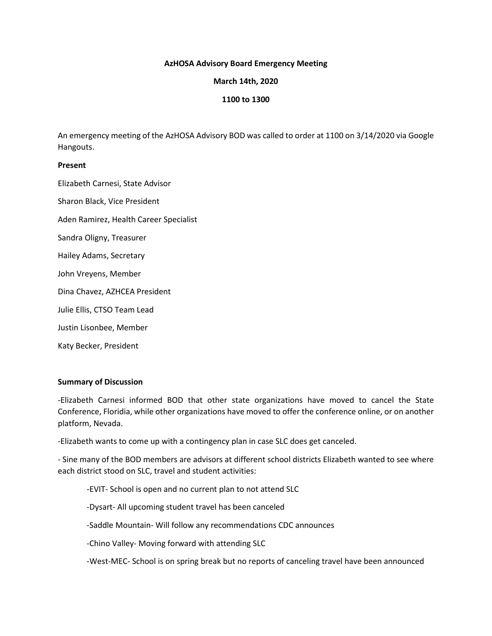### **AzHOSA Advisory Board Emergency Meeting**

### **March 14th, 2020**

## **1100 to 1300**

An emergency meeting of the AzHOSA Advisory BOD was called to order at 1100 on 3/14/2020 via Google Hangouts.

### **Present**

Elizabeth Carnesi, State Advisor Sharon Black, Vice President Aden Ramirez, Health Career Specialist Sandra Oligny, Treasurer Hailey Adams, Secretary John Vreyens, Member Dina Chavez, AZHCEA President Julie Ellis, CTSO Team Lead Justin Lisonbee, Member Katy Becker, President

#### **Summary of Discussion**

-Elizabeth Carnesi informed BOD that other state organizations have moved to cancel the State Conference, Floridia, while other organizations have moved to offer the conference online, or on another platform, Nevada.

-Elizabeth wants to come up with a contingency plan in case SLC does get canceled.

- Sine many of the BOD members are advisors at different school districts Elizabeth wanted to see where each district stood on SLC, travel and student activities:

-EVIT- School is open and no current plan to not attend SLC

-Dysart- All upcoming student travel has been canceled

-Saddle Mountain- Will follow any recommendations CDC announces

-Chino Valley- Moving forward with attending SLC

-West-MEC- School is on spring break but no reports of canceling travel have been announced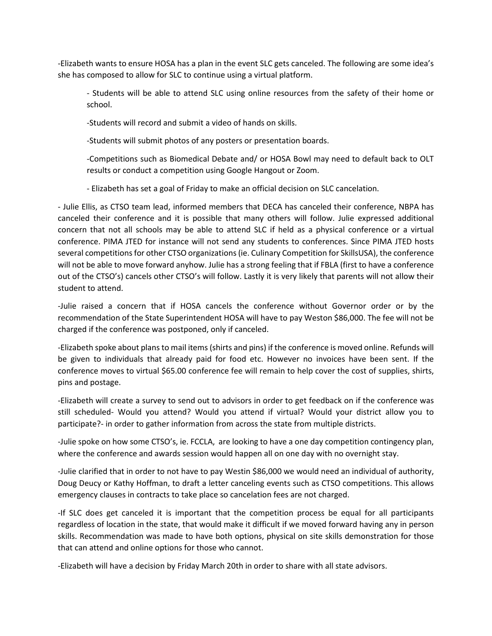-Elizabeth wants to ensure HOSA has a plan in the event SLC gets canceled. The following are some idea's she has composed to allow for SLC to continue using a virtual platform.

- Students will be able to attend SLC using online resources from the safety of their home or school.

-Students will record and submit a video of hands on skills.

-Students will submit photos of any posters or presentation boards.

-Competitions such as Biomedical Debate and/ or HOSA Bowl may need to default back to OLT results or conduct a competition using Google Hangout or Zoom.

- Elizabeth has set a goal of Friday to make an official decision on SLC cancelation.

- Julie Ellis, as CTSO team lead, informed members that DECA has canceled their conference, NBPA has canceled their conference and it is possible that many others will follow. Julie expressed additional concern that not all schools may be able to attend SLC if held as a physical conference or a virtual conference. PIMA JTED for instance will not send any students to conferences. Since PIMA JTED hosts several competitions for other CTSO organizations (ie. Culinary Competition for SkillsUSA), the conference will not be able to move forward anyhow. Julie has a strong feeling that if FBLA (first to have a conference out of the CTSO's) cancels other CTSO's will follow. Lastly it is very likely that parents will not allow their student to attend.

-Julie raised a concern that if HOSA cancels the conference without Governor order or by the recommendation of the State Superintendent HOSA will have to pay Weston \$86,000. The fee will not be charged if the conference was postponed, only if canceled.

-Elizabeth spoke about plans to mail items (shirts and pins) if the conference is moved online. Refunds will be given to individuals that already paid for food etc. However no invoices have been sent. If the conference moves to virtual \$65.00 conference fee will remain to help cover the cost of supplies, shirts, pins and postage.

-Elizabeth will create a survey to send out to advisors in order to get feedback on if the conference was still scheduled- Would you attend? Would you attend if virtual? Would your district allow you to participate?- in order to gather information from across the state from multiple districts.

-Julie spoke on how some CTSO's, ie. FCCLA, are looking to have a one day competition contingency plan, where the conference and awards session would happen all on one day with no overnight stay.

-Julie clarified that in order to not have to pay Westin \$86,000 we would need an individual of authority, Doug Deucy or Kathy Hoffman, to draft a letter canceling events such as CTSO competitions. This allows emergency clauses in contracts to take place so cancelation fees are not charged.

-If SLC does get canceled it is important that the competition process be equal for all participants regardless of location in the state, that would make it difficult if we moved forward having any in person skills. Recommendation was made to have both options, physical on site skills demonstration for those that can attend and online options for those who cannot.

-Elizabeth will have a decision by Friday March 20th in order to share with all state advisors.